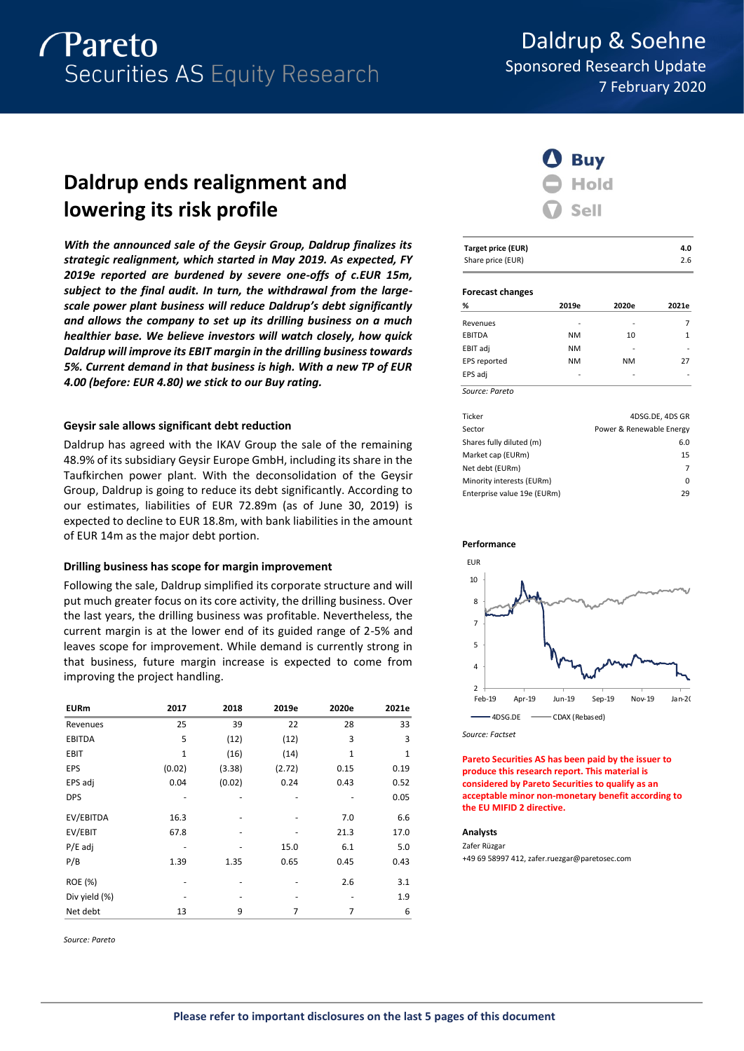

Daldrup & Soehne Sponsored Research Update 7 February 2020

# **Daldrup ends realignment and lowering its risk profile**

*With the announced sale of the Geysir Group, Daldrup finalizes its strategic realignment, which started in May 2019. As expected, FY 2019e reported are burdened by severe one-offs of c.EUR 15m, subject to the final audit. In turn, the withdrawal from the largescale power plant business will reduce Daldrup's debt significantly and allows the company to set up its drilling business on a much healthier base. We believe investors will watch closely, how quick Daldrup will improve its EBIT margin in the drilling business towards 5%. Current demand in that business is high. With a new TP of EUR 4.00 (before: EUR 4.80) we stick to our Buy rating.*

# **Geysir sale allows significant debt reduction**

Daldrup has agreed with the IKAV Group the sale of the remaining 48.9% of its subsidiary Geysir Europe GmbH, including its share in the Taufkirchen power plant. With the deconsolidation of the Geysir Group, Daldrup is going to reduce its debt significantly. According to our estimates, liabilities of EUR 72.89m (as of June 30, 2019) is expected to decline to EUR 18.8m, with bank liabilities in the amount of EUR 14m as the major debt portion.

# **Drilling business has scope for margin improvement**

Following the sale, Daldrup simplified its corporate structure and will put much greater focus on its core activity, the drilling business. Over the last years, the drilling business was profitable. Nevertheless, the current margin is at the lower end of its guided range of 2-5% and leaves scope for improvement. While demand is currently strong in that business, future margin increase is expected to come from improving the project handling.

| <b>EURm</b>    | 2017   | 2018   | 2019e  | 2020e | 2021e |
|----------------|--------|--------|--------|-------|-------|
| Revenues       | 25     | 39     | 22     | 28    | 33    |
| <b>EBITDA</b>  | 5      | (12)   | (12)   | 3     | 3     |
| <b>EBIT</b>    | 1      | (16)   | (14)   | 1     | 1     |
| EPS            | (0.02) | (3.38) | (2.72) | 0.15  | 0.19  |
| EPS adj        | 0.04   | (0.02) | 0.24   | 0.43  | 0.52  |
| <b>DPS</b>     |        |        |        |       | 0.05  |
| EV/EBITDA      | 16.3   |        | ٠      | 7.0   | 6.6   |
| EV/EBIT        | 67.8   |        |        | 21.3  | 17.0  |
| $P/E$ adj      |        |        | 15.0   | 6.1   | 5.0   |
| P/B            | 1.39   | 1.35   | 0.65   | 0.45  | 0.43  |
| <b>ROE (%)</b> |        |        |        | 2.6   | 3.1   |
| Div yield (%)  |        |        |        |       | 1.9   |
| Net debt       | 13     | 9      | 7      | 7     | 6     |

*Source: Pareto*



| Target price (EUR) | 4.0 |
|--------------------|-----|
| Share price (EUR)  | 2.6 |

### **Forecast changes**

| %              | 2019e     | 2020e     | 2021e |
|----------------|-----------|-----------|-------|
| Revenues       |           |           |       |
| EBITDA         | <b>NM</b> | 10        | 1     |
| EBIT adj       | <b>NM</b> |           |       |
| EPS reported   | <b>NM</b> | <b>NM</b> | 27    |
| EPS adj        |           |           |       |
| Source: Pareto |           |           |       |

| Ticker                      | 4DSG.DE, 4DS GR          |
|-----------------------------|--------------------------|
| Sector                      | Power & Renewable Energy |
| Shares fully diluted (m)    | 6.0                      |
| Market cap (EURm)           | 15                       |
| Net debt (EURm)             | 7                        |
| Minority interests (EURm)   | 0                        |
| Enterprise value 19e (EURm) | 29                       |

### **Performance**



*Source: Factset*

**Pareto Securities AS has been paid by the issuer to produce this research report. This material is considered by Pareto Securities to qualify as an acceptable minor non-monetary benefit according to the EU MIFID 2 directive.**

### **Analysts**

Zafer Rüzgar +49 69 58997 412, zafer.ruezgar@paretosec.com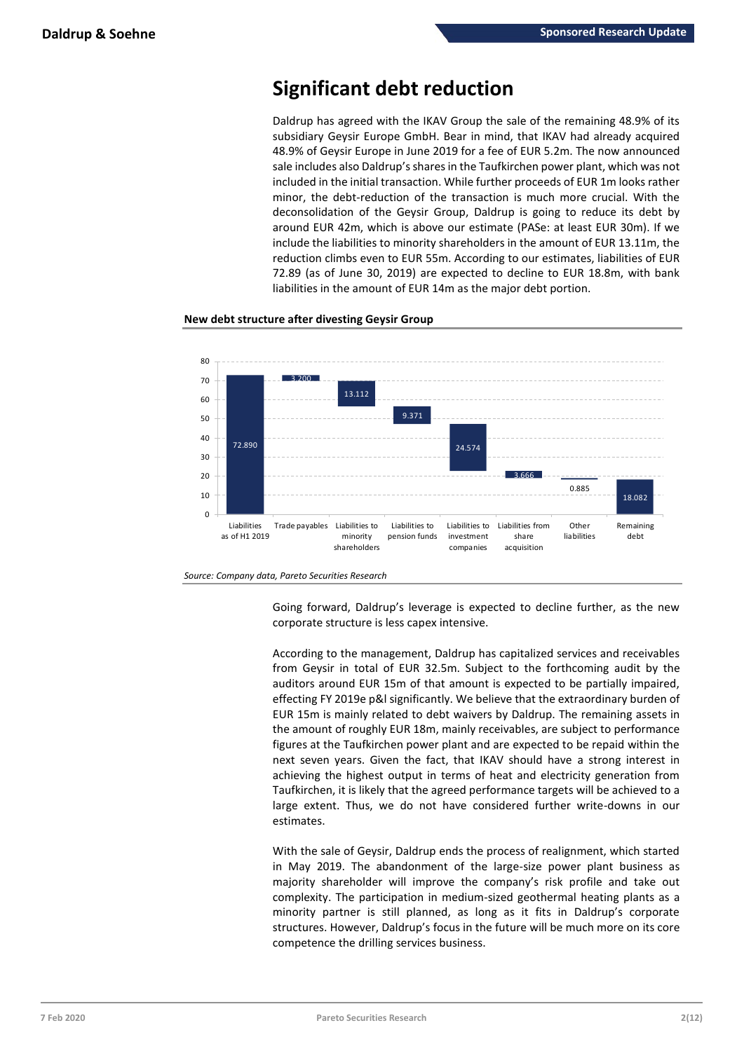# **Significant debt reduction**

Daldrup has agreed with the IKAV Group the sale of the remaining 48.9% of its subsidiary Geysir Europe GmbH. Bear in mind, that IKAV had already acquired 48.9% of Geysir Europe in June 2019 for a fee of EUR 5.2m. The now announced sale includes also Daldrup's shares in the Taufkirchen power plant, which was not included in the initial transaction. While further proceeds of EUR 1m looks rather minor, the debt-reduction of the transaction is much more crucial. With the deconsolidation of the Geysir Group, Daldrup is going to reduce its debt by around EUR 42m, which is above our estimate (PASe: at least EUR 30m). If we include the liabilities to minority shareholders in the amount of EUR 13.11m, the reduction climbs even to EUR 55m. According to our estimates, liabilities of EUR 72.89 (as of June 30, 2019) are expected to decline to EUR 18.8m, with bank liabilities in the amount of EUR 14m as the major debt portion.



**New debt structure after divesting Geysir Group**



*Source: Company data, Pareto Securities Research*

Going forward, Daldrup's leverage is expected to decline further, as the new corporate structure is less capex intensive.

According to the management, Daldrup has capitalized services and receivables from Geysir in total of EUR 32.5m. Subject to the forthcoming audit by the auditors around EUR 15m of that amount is expected to be partially impaired, effecting FY 2019e p&l significantly. We believe that the extraordinary burden of EUR 15m is mainly related to debt waivers by Daldrup. The remaining assets in the amount of roughly EUR 18m, mainly receivables, are subject to performance figures at the Taufkirchen power plant and are expected to be repaid within the next seven years. Given the fact, that IKAV should have a strong interest in achieving the highest output in terms of heat and electricity generation from Taufkirchen, it is likely that the agreed performance targets will be achieved to a large extent. Thus, we do not have considered further write-downs in our estimates.

With the sale of Geysir, Daldrup ends the process of realignment, which started in May 2019. The abandonment of the large-size power plant business as majority shareholder will improve the company's risk profile and take out complexity. The participation in medium-sized geothermal heating plants as a minority partner is still planned, as long as it fits in Daldrup's corporate structures. However, Daldrup's focus in the future will be much more on its core competence the drilling services business.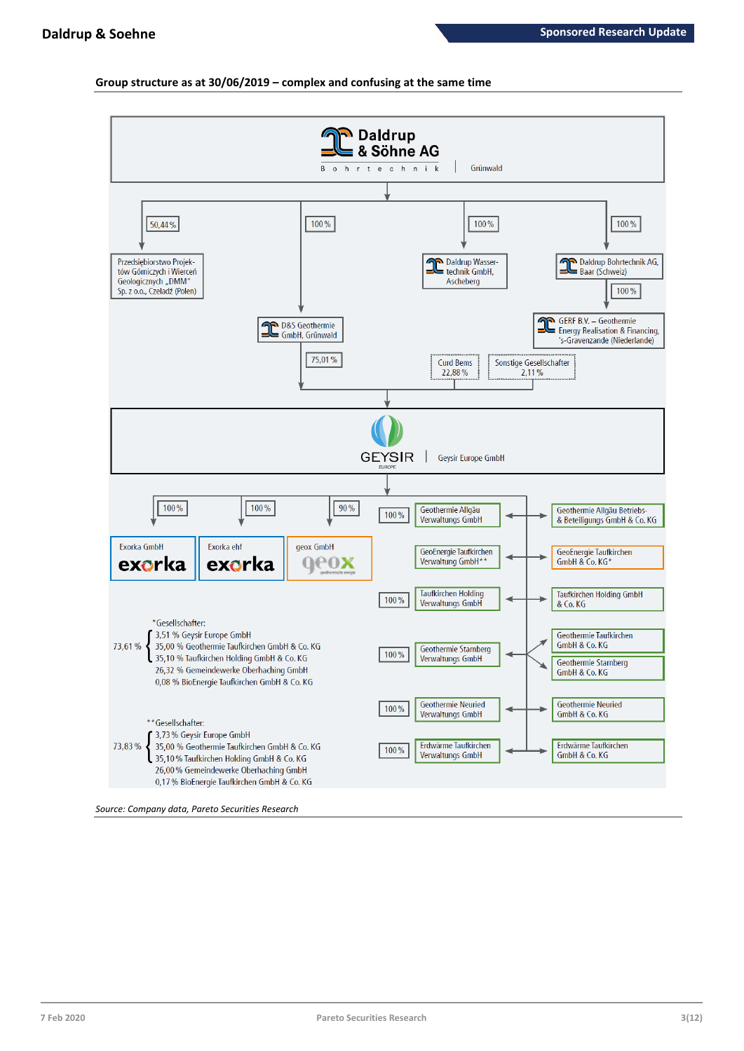# **Group structure as at 30/06/2019 – complex and confusing at the same time**

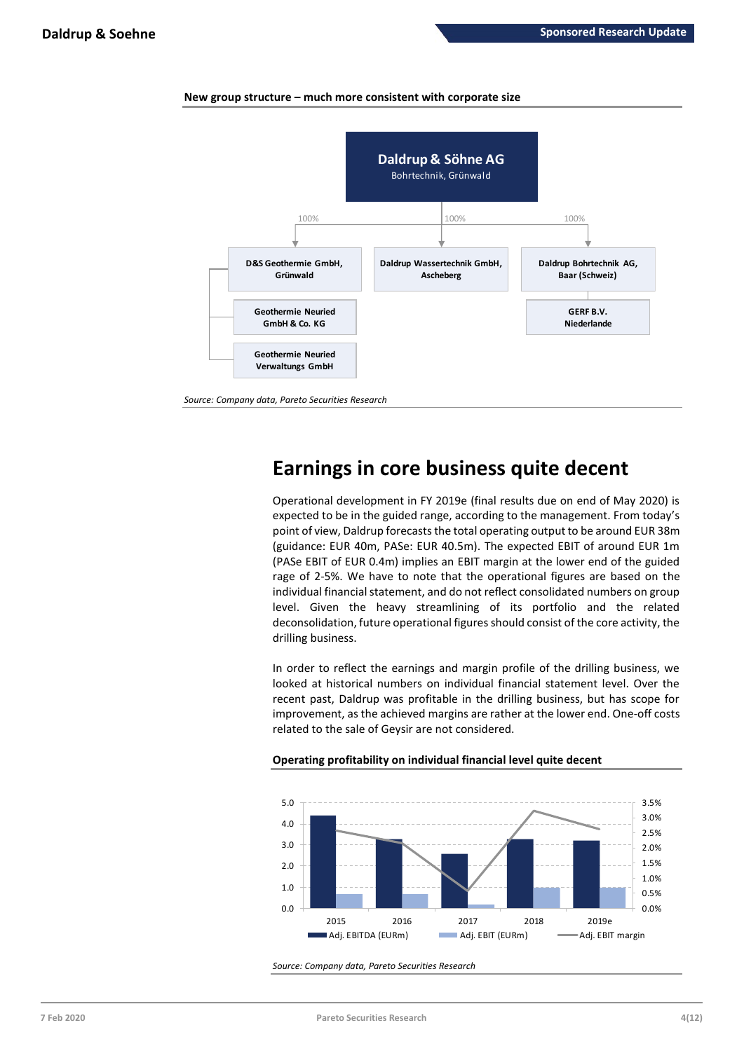

# **New group structure – much more consistent with corporate size**

# **Earnings in core business quite decent**

Operational development in FY 2019e (final results due on end of May 2020) is expected to be in the guided range, according to the management. From today's point of view, Daldrup forecasts the total operating output to be around EUR 38m (guidance: EUR 40m, PASe: EUR 40.5m). The expected EBIT of around EUR 1m (PASe EBIT of EUR 0.4m) implies an EBIT margin at the lower end of the guided rage of 2-5%. We have to note that the operational figures are based on the individual financial statement, and do not reflect consolidated numbers on group level. Given the heavy streamlining of its portfolio and the related deconsolidation, future operational figures should consist of the core activity, the drilling business.

In order to reflect the earnings and margin profile of the drilling business, we looked at historical numbers on individual financial statement level. Over the recent past, Daldrup was profitable in the drilling business, but has scope for improvement, as the achieved margins are rather at the lower end. One-off costs related to the sale of Geysir are not considered.



# **Operating profitability on individual financial level quite decent**

*Source: Company data, Pareto Securities Research*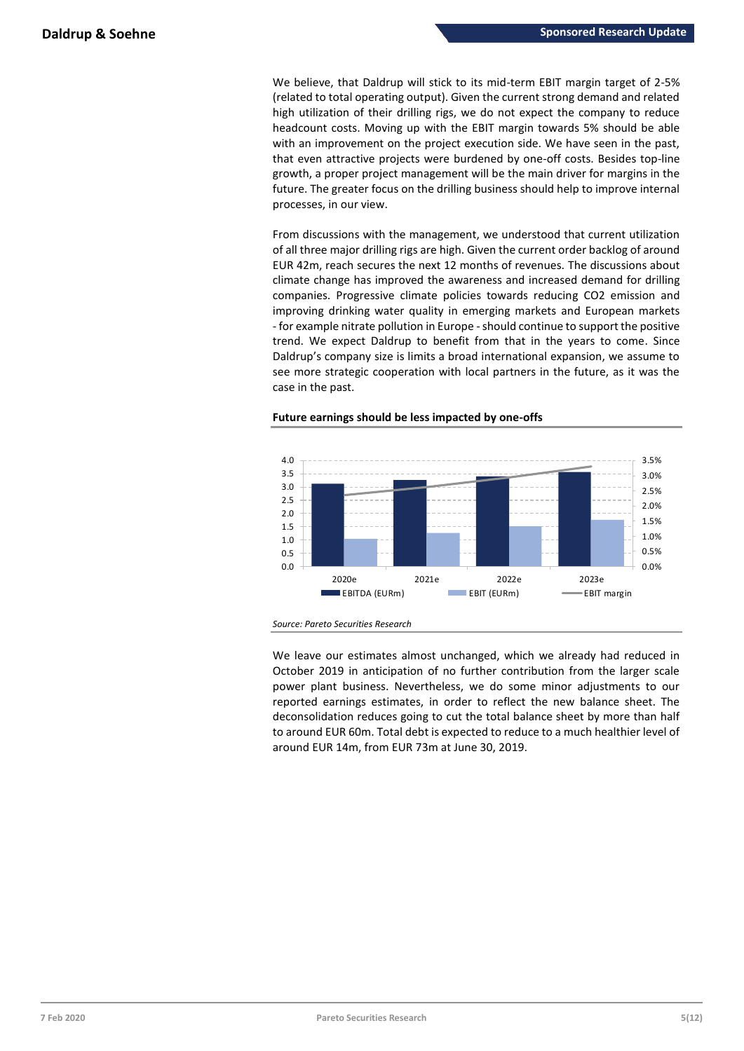We believe, that Daldrup will stick to its mid-term EBIT margin target of 2-5% (related to total operating output). Given the current strong demand and related high utilization of their drilling rigs, we do not expect the company to reduce headcount costs. Moving up with the EBIT margin towards 5% should be able with an improvement on the project execution side. We have seen in the past, that even attractive projects were burdened by one-off costs. Besides top-line growth, a proper project management will be the main driver for margins in the future. The greater focus on the drilling business should help to improve internal processes, in our view.

From discussions with the management, we understood that current utilization of all three major drilling rigs are high. Given the current order backlog of around EUR 42m, reach secures the next 12 months of revenues. The discussions about climate change has improved the awareness and increased demand for drilling companies. Progressive climate policies towards reducing CO2 emission and improving drinking water quality in emerging markets and European markets - for example nitrate pollution in Europe -should continue to support the positive trend. We expect Daldrup to benefit from that in the years to come. Since Daldrup's company size is limits a broad international expansion, we assume to see more strategic cooperation with local partners in the future, as it was the case in the past.

# **Future earnings should be less impacted by one-offs**



*Source: Pareto Securities Research*

We leave our estimates almost unchanged, which we already had reduced in October 2019 in anticipation of no further contribution from the larger scale power plant business. Nevertheless, we do some minor adjustments to our reported earnings estimates, in order to reflect the new balance sheet. The deconsolidation reduces going to cut the total balance sheet by more than half to around EUR 60m. Total debt is expected to reduce to a much healthier level of around EUR 14m, from EUR 73m at June 30, 2019.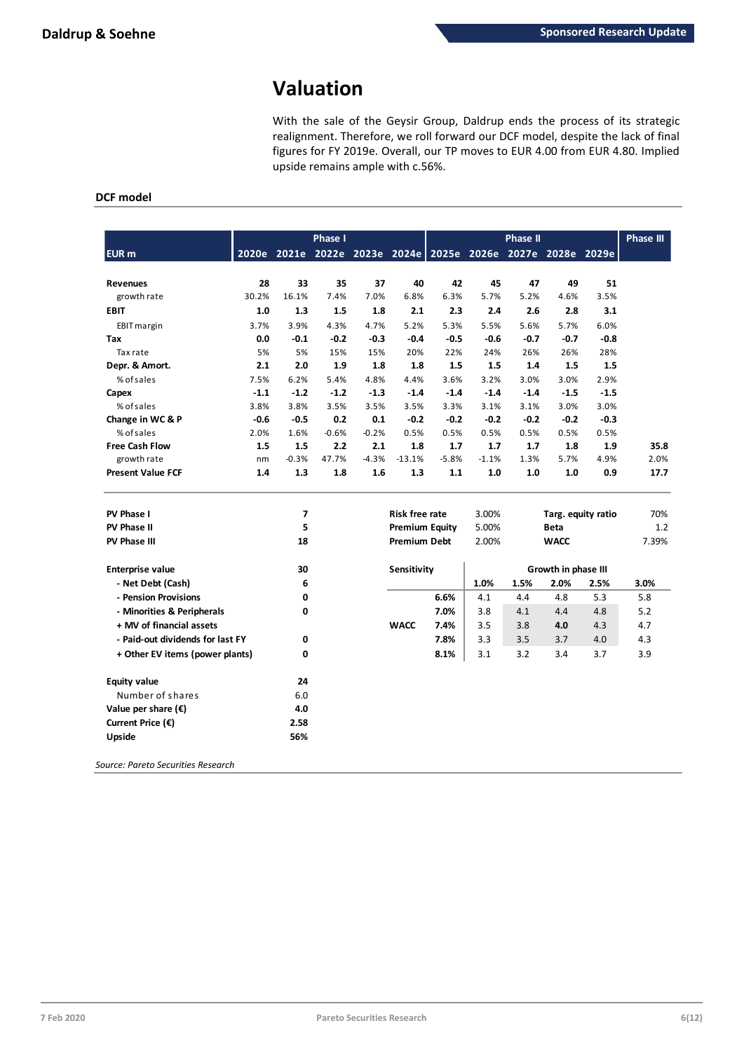# **Valuation**

With the sale of the Geysir Group, Daldrup ends the process of its strategic realignment. Therefore, we roll forward our DCF model, despite the lack of final figures for FY 2019e. Overall, our TP moves to EUR 4.00 from EUR 4.80. Implied upside remains ample with c.56%.

# **DCF model**

|                                    |        |                | Phase I |         |                       |                                                             |         | <b>Phase II</b> |                     |        | <b>Phase III</b> |
|------------------------------------|--------|----------------|---------|---------|-----------------------|-------------------------------------------------------------|---------|-----------------|---------------------|--------|------------------|
| EUR <sub>m</sub>                   |        |                |         |         |                       | 2020e 2021e 2022e 2023e 2024e 2025e 2026e 2027e 2028e 2029e |         |                 |                     |        |                  |
| <b>Revenues</b>                    | 28     | 33             | 35      | 37      | 40                    | 42                                                          | 45      | 47              | 49                  | 51     |                  |
| growth rate                        | 30.2%  | 16.1%          | 7.4%    | 7.0%    | 6.8%                  | 6.3%                                                        | 5.7%    | 5.2%            | 4.6%                | 3.5%   |                  |
| <b>EBIT</b>                        | 1.0    | 1.3            | 1.5     | 1.8     | 2.1                   | 2.3                                                         | 2.4     | 2.6             | 2.8                 | 3.1    |                  |
| EBIT margin                        | 3.7%   | 3.9%           | 4.3%    | 4.7%    | 5.2%                  | 5.3%                                                        | 5.5%    | 5.6%            | 5.7%                | 6.0%   |                  |
| Tax                                | 0.0    | $-0.1$         | $-0.2$  | $-0.3$  | $-0.4$                | $-0.5$                                                      | $-0.6$  | $-0.7$          | $-0.7$              | $-0.8$ |                  |
| Tax rate                           | 5%     | 5%             | 15%     | 15%     | 20%                   | 22%                                                         | 24%     | 26%             | 26%                 | 28%    |                  |
| Depr. & Amort.                     | 2.1    | 2.0            | 1.9     | 1.8     | 1.8                   | 1.5                                                         | 1.5     | 1.4             | 1.5                 | 1.5    |                  |
| % of sales                         | 7.5%   | 6.2%           | 5.4%    | 4.8%    | 4.4%                  | 3.6%                                                        | 3.2%    | 3.0%            | 3.0%                | 2.9%   |                  |
| Capex                              | $-1.1$ | $-1.2$         | $-1.2$  | $-1.3$  | $-1.4$                | $-1.4$                                                      | $-1.4$  | $-1.4$          | $-1.5$              | $-1.5$ |                  |
| % of sales                         | 3.8%   | 3.8%           | 3.5%    | 3.5%    | 3.5%                  | 3.3%                                                        | 3.1%    | 3.1%            | 3.0%                | 3.0%   |                  |
| Change in WC & P                   | $-0.6$ | $-0.5$         | 0.2     | 0.1     | $-0.2$                | $-0.2$                                                      | $-0.2$  | $-0.2$          | $-0.2$              | $-0.3$ |                  |
| % of sales                         | 2.0%   | 1.6%           | $-0.6%$ | $-0.2%$ | 0.5%                  | 0.5%                                                        | 0.5%    | 0.5%            | 0.5%                | 0.5%   |                  |
| <b>Free Cash Flow</b>              | 1.5    | 1.5            | 2.2     | 2.1     | 1.8                   | 1.7                                                         | 1.7     | 1.7             | 1.8                 | 1.9    | 35.8             |
| growth rate                        | nm     | $-0.3%$        | 47.7%   | $-4.3%$ | $-13.1%$              | $-5.8%$                                                     | $-1.1%$ | 1.3%            | 5.7%                | 4.9%   | 2.0%             |
| <b>Present Value FCF</b>           | 1.4    | 1.3            | 1.8     | 1.6     | 1.3                   | 1.1                                                         | 1.0     | 1.0             | 1.0                 | 0.9    | 17.7             |
| PV Phase I                         |        | $\overline{7}$ |         |         | <b>Risk free rate</b> |                                                             | 3.00%   |                 | Targ. equity ratio  |        | 70%              |
| PV Phase II                        |        | 5              |         |         | <b>Premium Equity</b> |                                                             | 5.00%   |                 | <b>Beta</b>         |        | 1.2              |
| <b>PV Phase III</b>                |        | 18             |         |         | <b>Premium Debt</b>   |                                                             | 2.00%   |                 | <b>WACC</b>         |        | 7.39%            |
| <b>Enterprise value</b>            |        | 30             |         |         | Sensitivity           |                                                             |         |                 | Growth in phase III |        |                  |
| - Net Debt (Cash)                  |        | 6              |         |         |                       |                                                             | 1.0%    | 1.5%            | 2.0%                | 2.5%   | 3.0%             |
| - Pension Provisions               |        | 0              |         |         |                       | 6.6%                                                        | 4.1     | 4.4             | 4.8                 | 5.3    | 5.8              |
| - Minorities & Peripherals         |        | 0              |         |         |                       | 7.0%                                                        | 3.8     | 4.1             | 4.4                 | 4.8    | 5.2              |
| + MV of financial assets           |        |                |         |         | <b>WACC</b>           | 7.4%                                                        | 3.5     | 3.8             | 4.0                 | 4.3    | 4.7              |
| - Paid-out dividends for last FY   |        | 0              |         |         |                       | 7.8%                                                        | 3.3     | 3.5             | 3.7                 | 4.0    | 4.3              |
| + Other EV items (power plants)    |        | 0              |         |         |                       | 8.1%                                                        | 3.1     | 3.2             | 3.4                 | 3.7    | 3.9              |
| <b>Equity value</b>                |        | 24             |         |         |                       |                                                             |         |                 |                     |        |                  |
| Number of shares                   |        | 6.0            |         |         |                       |                                                             |         |                 |                     |        |                  |
| Value per share $(\epsilon)$       |        | 4.0            |         |         |                       |                                                             |         |                 |                     |        |                  |
| Current Price (€)                  |        | 2.58           |         |         |                       |                                                             |         |                 |                     |        |                  |
| Upside                             |        | 56%            |         |         |                       |                                                             |         |                 |                     |        |                  |
| Source: Pareto Securities Research |        |                |         |         |                       |                                                             |         |                 |                     |        |                  |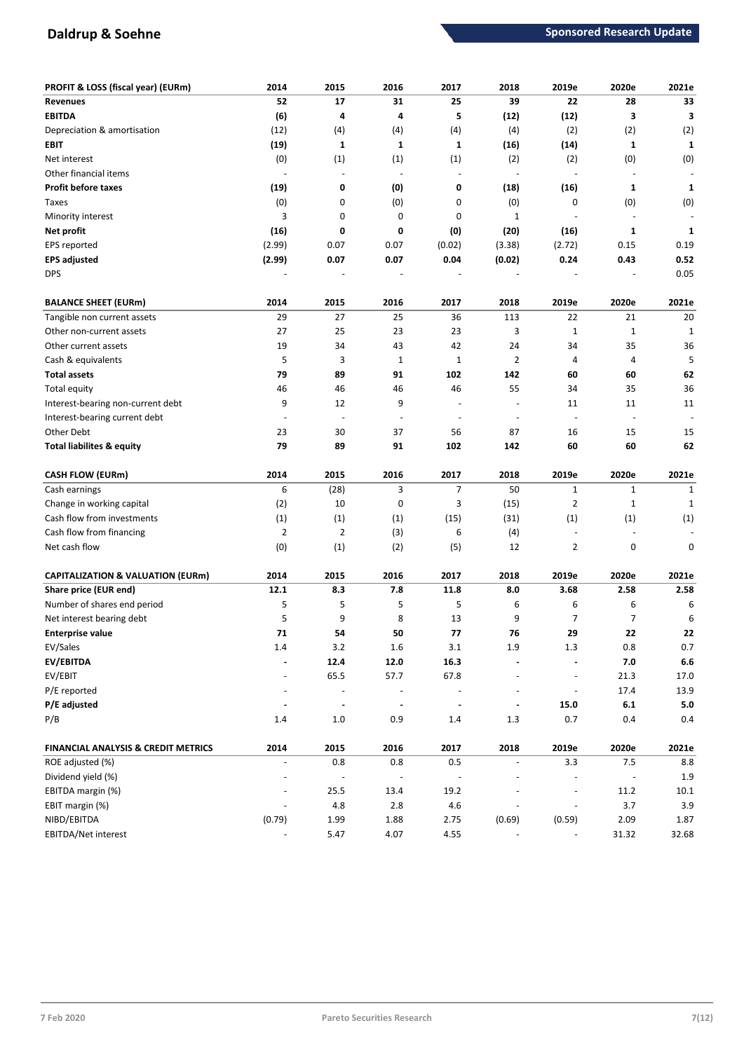# **Daldrup & Soehne Sponsored Research Update**

| PROFIT & LOSS (fiscal year) (EURm)             | 2014                             | 2015                     | 2016                         | 2017                     | 2018                             | 2019e                    | 2020e                    | 2021e        |
|------------------------------------------------|----------------------------------|--------------------------|------------------------------|--------------------------|----------------------------------|--------------------------|--------------------------|--------------|
| <b>Revenues</b>                                | 52                               | 17                       | 31                           | 25                       | 39                               | 22                       | 28                       | 33           |
| <b>EBITDA</b>                                  | (6)                              | 4                        | 4                            | 5                        | (12)                             | (12)                     | 3                        | 3            |
| Depreciation & amortisation                    | (12)                             | (4)                      | (4)                          | (4)                      | (4)                              | (2)                      | (2)                      | (2)          |
| EBIT                                           | (19)                             | 1                        | 1                            | $\mathbf{1}$             | (16)                             | (14)                     | $\mathbf{1}$             | 1            |
| Net interest                                   | (0)                              | (1)                      | (1)                          | (1)                      | (2)                              | (2)                      | (0)                      | (0)          |
| Other financial items                          |                                  | $\sim$                   | $\overline{a}$               | $\overline{a}$           | $\overline{\phantom{a}}$         |                          |                          |              |
| <b>Profit before taxes</b>                     | (19)                             | 0                        | (0)                          | 0                        | (18)                             | (16)                     | $\mathbf{1}$             | $\mathbf{1}$ |
| <b>Taxes</b>                                   | (0)                              | 0                        | (0)                          | 0                        | (0)                              | 0                        | (0)                      | (0)          |
| Minority interest                              | 3                                | 0                        | 0                            | 0                        | 1                                |                          |                          |              |
| Net profit                                     | (16)                             | 0                        | 0                            | (0)                      | (20)                             | (16)                     | $\mathbf{1}$             | $\mathbf{1}$ |
| EPS reported                                   | (2.99)                           | 0.07                     | 0.07                         | (0.02)                   | (3.38)                           | (2.72)                   | 0.15                     | 0.19         |
| <b>EPS adjusted</b>                            | (2.99)                           | 0.07                     | 0.07                         | 0.04                     | (0.02)                           | 0.24                     | 0.43                     | 0.52         |
| <b>DPS</b>                                     |                                  |                          |                              |                          |                                  |                          |                          | 0.05         |
|                                                |                                  |                          |                              |                          |                                  |                          |                          |              |
| <b>BALANCE SHEET (EURm)</b>                    | 2014                             | 2015                     | 2016                         | 2017                     | 2018                             | 2019e                    | 2020e                    | 2021e        |
| Tangible non current assets                    | 29                               | 27                       | 25                           | 36                       | 113                              | 22                       | 21                       | 20           |
| Other non-current assets                       | 27                               | 25                       | 23                           | 23                       | 3                                | $\mathbf{1}$             | $\mathbf{1}$             | 1            |
| Other current assets                           | 19                               | 34                       | 43                           | 42                       | 24                               | 34                       | 35                       | 36           |
| Cash & equivalents                             | 5                                | 3                        | $\mathbf{1}$                 | $\mathbf{1}$             | 2                                | $\overline{4}$           | 4                        | 5            |
| <b>Total assets</b>                            | 79                               | 89                       | 91                           | 102                      | 142                              | 60                       | 60                       | 62           |
| Total equity                                   | 46                               | 46                       | 46                           | 46                       | 55                               | 34                       | 35                       | 36           |
| Interest-bearing non-current debt              | 9                                | 12                       | 9                            | $\overline{a}$           | $\overline{\phantom{a}}$         | 11                       | 11                       | 11           |
| Interest-bearing current debt                  |                                  | $\overline{\phantom{a}}$ | ÷,                           | $\overline{a}$           | $\overline{\phantom{a}}$         |                          | $\overline{\phantom{a}}$ |              |
| Other Debt                                     | 23                               | 30                       | 37                           | 56                       | 87                               | 16                       | 15                       | 15           |
| <b>Total liabilites &amp; equity</b>           | 79                               | 89                       | 91                           | 102                      | 142                              | 60                       | 60                       | 62           |
| CASH FLOW (EURm)                               | 2014                             | 2015                     | 2016                         | 2017                     | 2018                             | 2019e                    | 2020e                    | 2021e        |
| Cash earnings                                  | 6                                | (28)                     | 3                            | $\overline{7}$           | 50                               | $\mathbf{1}$             | $\mathbf{1}$             | 1            |
| Change in working capital                      | (2)                              | 10                       | 0                            | 3                        | (15)                             | $\overline{2}$           | $\mathbf 1$              | 1            |
| Cash flow from investments                     | (1)                              | (1)                      | (1)                          | (15)                     | (31)                             | (1)                      | (1)                      | (1)          |
| Cash flow from financing                       | $\overline{2}$                   | $\overline{2}$           | (3)                          | 6                        | (4)                              |                          |                          |              |
| Net cash flow                                  | (0)                              | (1)                      | (2)                          | (5)                      | 12                               | $\overline{2}$           | 0                        | 0            |
|                                                |                                  |                          |                              |                          |                                  |                          |                          |              |
| <b>CAPITALIZATION &amp; VALUATION (EURm)</b>   | 2014                             | 2015                     | 2016                         | 2017                     | 2018                             | 2019e                    | 2020e                    | 2021e        |
| Share price (EUR end)                          | 12.1                             | 8.3                      | 7.8                          | 11.8                     | 8.0                              | 3.68                     | 2.58                     | 2.58         |
| Number of shares end period                    | 5                                | 5                        | 5                            | 5                        | 6                                | 6                        | 6                        | 6            |
| Net interest bearing debt                      | 5                                | 9                        | 8                            | 13                       | 9                                | 7                        | $\overline{7}$           | 6            |
| <b>Enterprise value</b>                        | 71                               | 54                       | 50                           | 77                       | 76                               | 29                       | 22                       | 22           |
| EV/Sales                                       | $1.4\,$                          | 3.2                      | $1.6\,$                      | 3.1                      | $1.9\,$                          | $1.3\,$                  | 0.8                      | 0.7          |
| EV/EBITDA                                      |                                  | 12.4                     | $12.0\,$                     | 16.3                     |                                  |                          | $7.0$                    | $6.6\,$      |
| EV/EBIT                                        | $\overline{\phantom{a}}$         | 65.5                     | 57.7                         | 67.8                     | $\overline{\phantom{a}}$         | $\overline{\phantom{a}}$ | 21.3                     | 17.0         |
| P/E reported                                   | $\overline{\phantom{a}}$         | $\overline{\phantom{a}}$ | $\qquad \qquad \blacksquare$ | $\overline{\phantom{a}}$ | $\overline{\phantom{a}}$         | $\overline{\phantom{a}}$ | 17.4                     | 13.9         |
| P/E adjusted                                   |                                  |                          |                              |                          |                                  |                          |                          | $5.0\,$      |
|                                                | $\blacksquare$                   | $\blacksquare$           | $\blacksquare$               | $\centerdot$             | $\blacksquare$                   | 15.0                     | $6.1\,$                  |              |
| P/B                                            | 1.4                              | $1.0$                    | 0.9                          | 1.4                      | 1.3                              | 0.7                      | 0.4                      | 0.4          |
| <b>FINANCIAL ANALYSIS &amp; CREDIT METRICS</b> |                                  |                          |                              |                          |                                  |                          |                          |              |
|                                                | 2014<br>$\overline{\phantom{a}}$ | 2015                     | 2016                         | 2017<br>0.5              | 2018<br>$\overline{\phantom{a}}$ | 2019e                    | 2020e                    | 2021e        |
| ROE adjusted (%)<br>Dividend yield (%)         |                                  | 0.8                      | 0.8                          | $\overline{\phantom{a}}$ |                                  | 3.3                      | $7.5\,$                  | 8.8          |
|                                                |                                  |                          |                              |                          |                                  | $\overline{a}$           |                          | 1.9          |
| EBITDA margin (%)                              | $\qquad \qquad \blacksquare$     | 25.5                     | 13.4                         | 19.2                     |                                  | $\overline{\phantom{a}}$ | 11.2                     | 10.1         |
| EBIT margin (%)<br>NIBD/EBITDA                 | (0.79)                           | 4.8<br>1.99              | $2.8\,$<br>1.88              | 4.6<br>2.75              | (0.69)                           | (0.59)                   | 3.7<br>2.09              | 3.9<br>1.87  |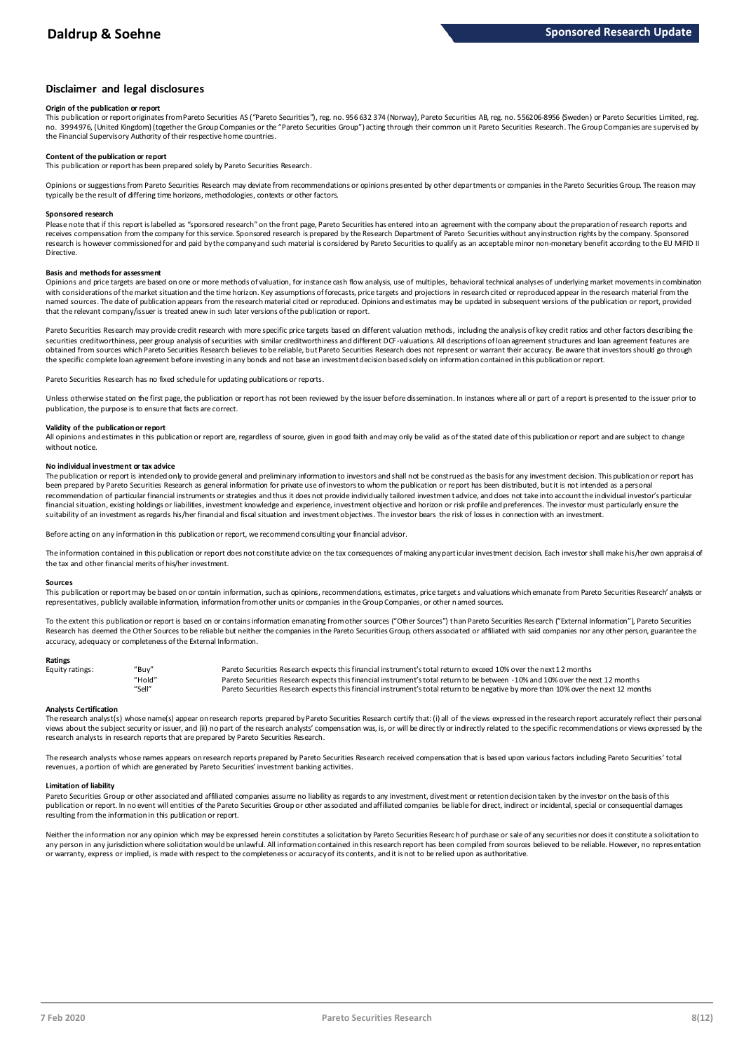# **Disclaimer and legal disclosures**

### **Origin of the publication or report**

This publication or report originates from Pareto Securities AS ("Pareto Securities"), reg. no. 956 632 374 (Norway), Pareto Securities AB, reg. no. 556206-8956 (Sweden) or Pareto Securities Limited, reg. no. 3994976, (United Kingdom) (together the Group Companies or the "Pareto Securities Group") acting through their common un it Pareto Securities Research. The Group Companies are supervised by the Financial Supervisory Authority of their respective home countries.

## **Content of the publication or report**

This publication or report has been prepared solely by Pareto Securities Research.

Opinions or suggestions from Pareto Securities Research may deviate from recommendations or opinions presented by other departments or companies in the Pareto Securities Group. The reason may typically be the result of differing time horizons, methodologies, contexts or other factors.

### **Sponsored research**

Please note that if this report is labelled as "sponsored research" on the front page, Pareto Securities has entered into an agreement with the company about the preparation of research reports and receives compensation from the company for this service. Sponsored research is prepared by the Research Department of Pareto Securities without any instruction rights by the company. Sponsored research is however commissioned for and paid by the company and such material is considered by Pareto Securities to qualify as an acceptable minor non-monetary benefit according to the EU MiFID II Directive.

## **Basis and methods for assessment**

Opinions and price targets are based on one or more methods of valuation, for instance cash flow analysis, use of multiples, behavioral technical analyses of underlying market movements in combination with considerations of the market situation and the time horizon. Key assumptions of forecasts, price targets and projections in research cited or reproduced appear in the research material from the named sources. The date of publication appears from the research material cited or reproduced. Opinions and estimates may be updated in subsequent versions of the publication or report, provided in and social cited or repo that the relevant company/issuer is treated anew in such later versions of the publication or report.

Pareto Securities Research may provide credit research with more specific price targets based on different valuation methods, including the analysis of key credit ratios and other factors describing the securities creditworthiness, peer group analysis of securities with similar creditworthiness and different DCF-valuations. All descriptions of loan agreement structures and loan agreement features are obtained from sources which Pareto Securities Research believes to be reliable, but Pareto Securities Research does not represent or warrant their accuracy. Be aware that investors should go through the specific complete loan agreement before investing in any bonds and not base an investment decision based solely on information contained in this publication or report.

Pareto Securities Research has no fixed schedule for updating publications or reports.

Unless otherwise stated on the first page, the publication or report has not been reviewed by the issuer before dissemination. In instances where all or part of a report is presented to the issuer prior to publication, the purpose is to ensure that facts are correct.

### **Validity of the publication or report**

All opinions and estimates in this publication or report are, regardless of source, given in good faith and may only be valid as of the stated date of this publication or report and are subject to change without notice.

### **No individual investment or tax advice**

The publication or report is intended only to provide general and preliminary information to investors and shall not be construed as the basis for any investment decision. This publication or report has been prepared by Pareto Securities Research as general information for private use of investors to whom the publication or report has been distributed, but it is not intended as a personal recommendation of partiɑɪlar financial instruments or strategies and thus it does not provide individually tailored investmen tadvice, and does not take into account the individual investor's particular<br>financial situation suitability of an investment as regards his/her financial and fiscal situation and investment objectives. The investor bears the risk of losses in connection with an investment.

Before acting on any information in this publication or report, we recommend consulting your financial advisor.

The information contained in this publication or report does not constitute advice on the tax consequences of making any particular investment decision. Each investor shall make his/her own appraisal of the tax and other financial merits of his/her investment.

### **Sources**

This publication or report may be based on or contain information, such as opinions, recommendations, estimates, price targets and valuations which emanate from Pareto Securities Research' analysts or representatives, publicly available information, information from other units or companies in the Group Companies, or other named sources.

To the extent this publication or report is based on or contains information emanating from other sources "Other Sources") than Pareto Securities Research ("External Information"), Pareto Securities Research has deemed the Other Sources to be reliable but neither the companies in the Pareto Securities Group, others associated or affiliated with said companies nor any other person, guarantee the accuracy, adequacy or completeness of the External Information.

### **Ratings**

| Equity ratings: | "Buy"  | Pareto Securities Research expects this financial instrument's total return to exceed 10% over the next 12 months                   |
|-----------------|--------|-------------------------------------------------------------------------------------------------------------------------------------|
|                 | "Hold" | Pareto Securities Research expects this financial instrument's total return to be between -10% and 10% over the next 12 months      |
|                 | "Sell" | Pareto Securities Research expects this financial instrument's total return to be negative by more than 10% over the next 12 months |

Analysts Certification<br>The research analyst(s) whose name(s) appear on research reports prepared by Pareto Securities Research certify that: (i) all of the views expressed in the research report accurately reflect their pe "Hold" Pareto Securities Research expects this financial instrument's total return to be between -10% and 10% over the next 12 months<br>"Sell" Pareto Securities Research expects this financial instrument's total return to be research analysts in research reports that are prepared by Pareto Securities Research.

The research analysts whose names appears on research reports prepared by Pareto Securities Research received compensation that is based upon various factors including Pareto Securities' total<br>revenues, a portion of which

### **Limitation of liability**

Pareto Securities Group or other associated and affiliated companies assume no liablity as regards to any investment, divestment or retention decision taken by the investor on the basis of this<br>publication or report. In no resulting from the information in this publication or report.

Neither the information nor any opinion which may be expressed herein constitutes a soligitation by Pareto Securities Research of purchase or sale of any securities nor does it constitute a soligitation to any person in any jurisdiction where solicitation would be unlawful. All information contained in this research report has been compiled from sources believed to be reliable. However, no representation or warranty, express or implied, is made with respect to the completeness or accuracy of its contents, and it is not to be relied upon as authoritative.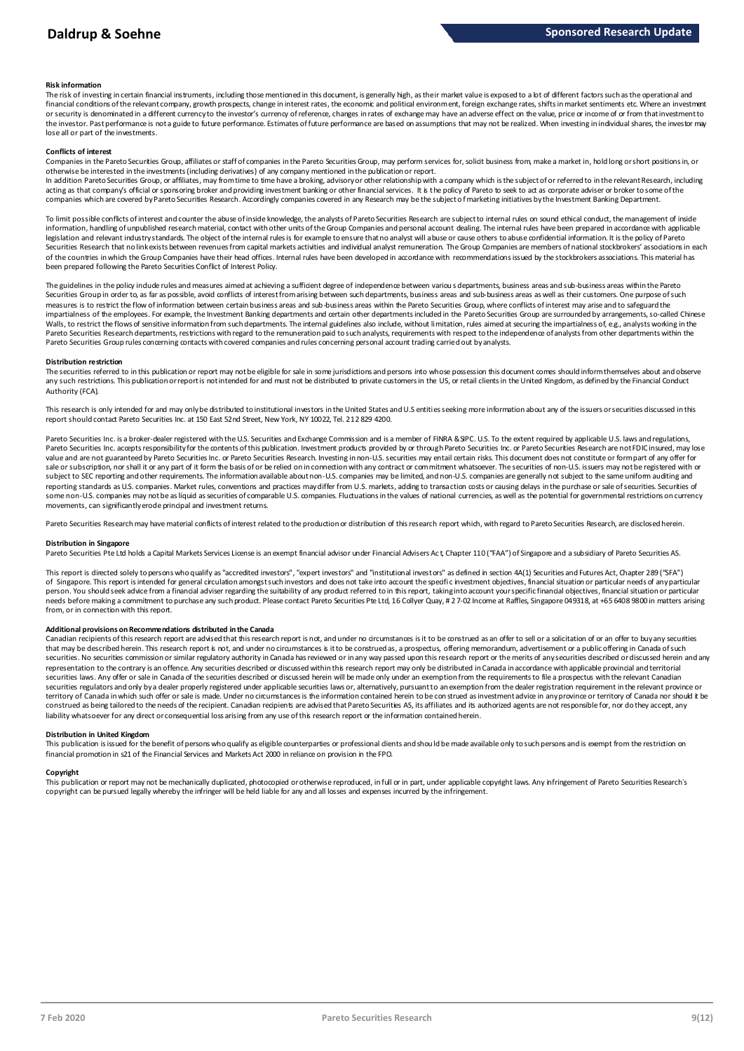### **Risk information**

The risk of investing in certain financial instruments, including those mentioned in this document, is generally high, as their market value is exposed to a lot of different factors such as the operational and financial conditions of the relevant company, growth prospects, change in interest rates, the economic and political environment, foreign exchange rates, shifts in market sentiments etc. Where an investment metally propert the investor. Past performance is not a guide to future performance. Estimates of future performance are based on assumptions that may not be realized. When investing in individual shares, the investor may lose all or part of the investments.

### **Conflicts of interest**

Companies in the Pareto Securities Group, affiliates or staff of companies in the Pareto Securities Group, may perform services for, solicit business from, make a market in, hold long or short positions in, or otherwise be interested in the investments (including derivatives) of any company mentioned in the publication or report.

In addition Pareto Securities Group, or affiliates, may from time to time have a broking, advisory or other relationship with a company which is the subject of or referred to in the relevant Research, including acting as that company's official or sponsoring broker and providing investment banking or other financial services. It is the policy of Pareto to seek to act as corporate adviser or broker to some of the<br>companies which a

To limit possible conflicts of interest and counter the abuse of inside knowledge, the analysts of Pareto Securities Research are subject to internal rules on sound ethical conduct, the management of inside<br>information, ha legislation and relevant industry standards. The object of the internal rules is for example to ensure that no analyst will abuse or cause others to abuse confidential information. It is the policy of Pareto Securities Research that no link exists between revenues from capital markets activities and individual analyst remuneration. The Group Companies are members of national stockbrokers' associations in each of the countries in which the Group Companies have their head offices. Internal rules have been developed in accordance with recommendations issued by the stockbrokers associations. This material has been prepared following the Pareto Securities Conflict of Interest Policy.

The guidelines in the policy indude rules and measures aimed at achieving a sufficient degree of independence between variou s departments, business areas and sub-business areas within the Pareto Securities Group in order to, as far as possible, avoid conflicts of interest from arising between such departments, business areas and sub-business areas as well as their customers. One purpose of such measures is to restrict the flow of information between certain business areas and sub-business areas within the Pareto Securities Group, where conflicts of interest may arise and to safeguard the impartialness of the employees. For example, the Investment Banking departments and certain other departments included in the Pareto Securities Group are surrounded by arrangements, so-called Chinese Walls, to restrict the flows of sensitive information from such departments. The internal guidelines also include, without limitation, rules aimed at securing the impartialness of, e.g., analysts working in the Pareto Securities Research departments, restrictions with regard to the remuneration paid to such analysts, requirements with respect to the independence of analysts from other departments within the Pareto Securities Group rules concerning contacts with covered companies and rules concerning personal account trading carried out by analysts.

### **Distribution restriction**

The securities referred to in this publication or report may not be eligible for sale in some jurisdictions and persons into whose possession this document comes should inform themselves about and observe Pareto Securities Group rules concerning contacts with covered companies and rules concerning personal account trading carried out by analysts.<br>Distribution restriction<br>The securities referred to in this publication or rep Authority (FCA).

This research is only intended for and may only be distributed to institutional investors in the United States and U.S entities seeking more information about any of the issuers or securities discussed in this report should contact Pareto Securities Inc. at 150 East 52nd Street, New York, NY 10022, Tel. 212 829 4200.

Pareto Securities Inc. is a broker-dealer registered with the U.S. Securities and Exchange Commission and is a member of FINRA & SPC. U.S. To the extent required by applicable U.S. laws and regulations, Pareto Securities Inc. accepts responsibility for the contents of this publication. Investment products provided by or through Pareto Securities Inc. or Pareto Securities Research are not FDIC insured, may lose value and are not guaranteed by Pareto Securities Inc. or Pareto Securities Research. Investing in non-U.S. securities may entail certain risks. This document does not constitute or form part of any offer for sale or subscription, nor shall it or any part of it form the basis of or be relied on in connection with any contract or commitment whatsoever. The securities of non-U.S. issuers may not be registered with or subject to SEC reporting and other requirements. The information available about non-U.S. companies may be limited, and non-U.S. companies are generally not subject to the same uniform auditing and reporting standards as U.S. companies. Market rules, conventions and practices may differ from U.S. markets, adding to transaction costs or causing delays in the purchase or sale of securities. Securities of some non-U.S. companies may not be as liquid as securities of comparable U.S. companies. Fluctuations in the values of national currencies, as well as the potential for governmental restrictions on currency movements, can significantly erode principal and investment returns.

Pareto Securities Research may have material conflicts of interest related to the production or distribution of this research report which, with regard to Pareto Securities Research, are disclosed herein.

### **Distribution in Singapore**

Pareto Securities Pte Ltd holds a Capital Markets Services License is an exempt financial advisor under Financial Advisers Act, Chapter 110 ("FAA") of Singapore and a subsidiary of Pareto Securities AS.

This report is directed solely to persons who qualify as "accredited investors", "expert investors" and "institutional investors" as defined in section 4A(1) Securities and Futures Act, Chapter 289 ("SFA") Distribution in Singapore<br>Pareto Securities Pte Ltd holds a Capital Markets Services License is an exempt financial advisor under Financial Advisers Act, Chapter 110 ("FAA") of Singapore and a subsidiary of Pareto Securiti person. You should seek advice from a financial adviser regarding the suitability of any product referred to in this report, taking into account your specific financial objectives, financial situation or particular needs before making a commitment to purchase any such product. Please contact Pareto Securities Pte Ltd, 16 Collyer Quay, # 2 7-02 Income at Raffles, Singapore 049318, at +65 6408 9800 in matters arising from, or in connection with this report.

**Additional provisions on Recommendations distributed in the Canada** ending and under the distances is it to be construed as an offer to sell or a solicitation of or an offer to buy any securities that may be described herein. This research report is not, and under no circumstances is it to be construed as, a prospectus, offering memorandum, advertisement or a public offering in Canada of such from, or in connection with this report.<br>Additional provisions on Recommendations distributed in the Canada<br>Canadian recipients of this research report are advised that this research report is not, and under no circumstanc representation to the contrary is an offence. Any securities described or discussed within this research report may only be distributed in Canada in accordance with applicable provincial and territorial<br>securities laws. An securities regulators and only by a dealer properly registered under applicable securities laws or, alternatively, pursuant to an exemption from the dealer registration requirement in the relevant province or territory of Canada in which such offer or sale is made. Under no circumstances is the information contained herein to be con strued as investment advice in any province or territory of Canada nor should it be construed as being tailored to the needs of the recipient. Canadian redpients are advised that Pareto Securities AS, its affiliates and its authorized agents are not responsible for, nor do they accept, any liability whatsoever for any direct or consequential loss arising from any use of this research report or the information contained herein.

### **Distribution in United Kingdom**

This publication is issued for the benefit of persons who qualify as eligible counterparties or professional dients and should be made available only to such persons and is exempt from the restriction on financial promotion in s21 of the Financial Services and Markets Act 2000 in reliance on provision in the FPO.

### **Copyright**

This publication or report may not be mechanically duplicated, photocopied or otherwise reproduced, in full or in part, under applicable copyright laws. Any infringement of Pareto Securities Research's copyright can be pursued legally whereby the infringer will be held liable for any and all losses and expenses incurred by the infringement.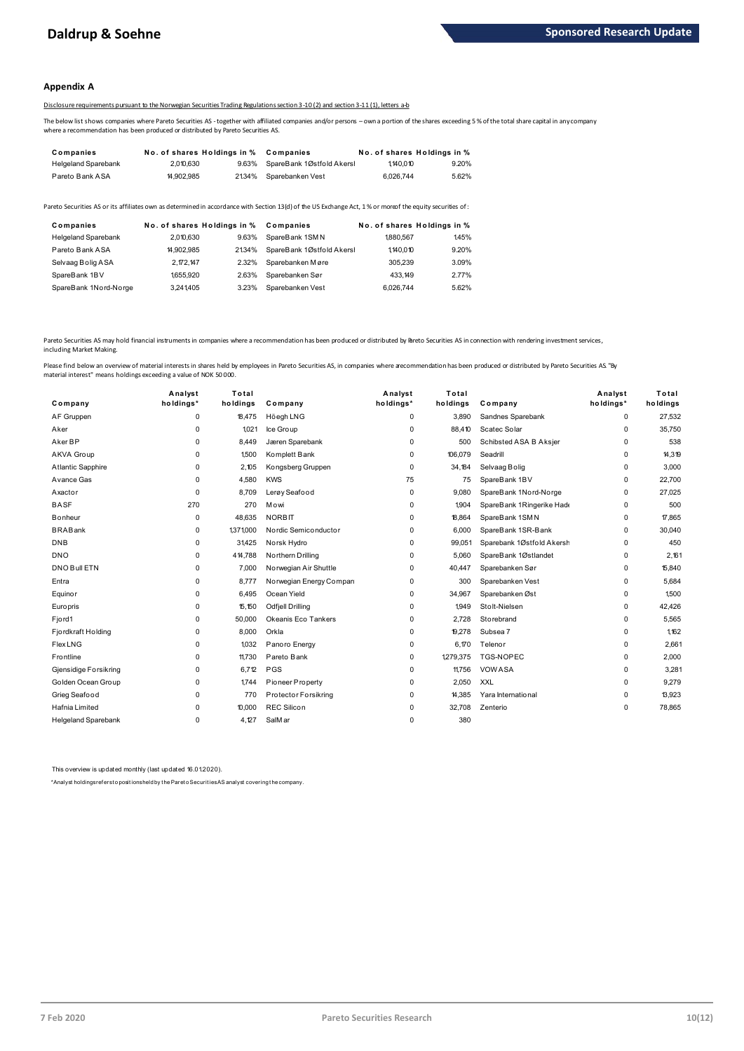## **Appendix A**

# Disclosure requirements pursuant to the Norwegian Securities Trading Regulations section 3-10 (2) and section 3-11 (1), letters a-b

The below list shows companies where Pareto Securities AS -together with affiliated companies and/or persons – own a portion of the shares exceeding 5 % of the total share capital in any company where a recommendation has been produced or distributed by Pareto Securities AS.

| Companies                  | No. of shares Holdings in % |       | Companies                 |           | No. of shares Holdings in % |
|----------------------------|-----------------------------|-------|---------------------------|-----------|-----------------------------|
| <b>Helgeland Sparebank</b> | 2,010,630                   | 9.63% | SpareBank 1Østfold Akersl | 1,140,010 | 9.20%                       |
| Pareto Bank ASA            | 14.902.985                  | 2134% | Sparebanken Vest          | 6.026.744 | 5.62%                       |

| <b>I GIULU DEIIN AUA</b>   | <b>H.JUL.JUJ</b>            |       | <b>2</b> 2010 UDCU CDCIIN CIIV COL                                                                                                                      | <b>0.040.1 TT</b> | 0.0270                      |
|----------------------------|-----------------------------|-------|---------------------------------------------------------------------------------------------------------------------------------------------------------|-------------------|-----------------------------|
|                            |                             |       | areto Securities AS or its affiliates own as determined in accordance with Section 13(d) of the US Exchange Act, 1% or moreof the equity securities of: |                   |                             |
| Companies                  | No. of shares Holdings in % |       | Companies                                                                                                                                               |                   | No. of shares Holdings in % |
| <b>Helgeland Sparebank</b> | 2.010.630                   | 9.63% | SpareBank 1SMN                                                                                                                                          | 1880.567          | 145%                        |
| Pareto Bank ASA            | 14.902.985                  | 2134% | SpareBank 1Østfold Akersl                                                                                                                               | 1.140.010         | 9.20%                       |
| Selvaag Bolig ASA          | 2, 172, 147                 | 2.32% | Sparebanken Møre                                                                                                                                        | 305.239           | 3.09%                       |
| SpareBank 1BV              | 1,655,920                   | 2.63% | Sparebanken Sør                                                                                                                                         | 433.149           | 2.77%                       |
| SpareBank 1Nord-Norge      | 3.241.405                   | 3.23% | Sparebanken Vest                                                                                                                                        | 6.026.744         | 5.62%                       |

Pareto Securities AS may hold financial instruments in companies where a recommendation has been produced or distributed by Pareto Securities AS in connection with rendering investment services, including Market Making.

| Company                    | Analyst<br>holdings* | Total<br>holdings | Company                 | Analyst<br>holdings* | Total<br>holdings | Company                   | Analyst<br>holdings* | Total<br>holdings |
|----------------------------|----------------------|-------------------|-------------------------|----------------------|-------------------|---------------------------|----------------------|-------------------|
| AF Gruppen                 | $\mathbf 0$          | 18,475            | Höegh LNG               | 0                    | 3.890             | Sandnes Sparebank         | 0                    | 27,532            |
| Aker                       | $\mathbf 0$          | 1.021             | Ice Group               | 0                    | 88.410            | Scatec Solar              | 0                    | 35,750            |
| Aker BP                    | $\mathbf 0$          | 8.449             | Jæren Sparebank         | 0                    | 500               | Schibsted ASA B Aksjer    | 0                    | 538               |
| AKVA Group                 | $\mathbf 0$          | 1500              | Komplett Bank           | 0                    | 106,079           | Seadrill                  | 0                    | 14,319            |
| Atlantic Sapphire          | $\Omega$             | 2.105             | Kongsberg Gruppen       | 0                    | 34.184            | Selvaag Bolig             | 0                    | 3,000             |
| Avance Gas                 | 0                    | 4,580             | <b>KWS</b>              | 75                   | 75                | SpareBank 1BV             | 0                    | 22,700            |
| Axactor                    | $\Omega$             | 8.709             | Lerøy Seafood           | 0                    | 9.080             | SpareBank 1Nord-Norge     | 0                    | 27,025            |
| <b>BASF</b>                | 270                  | 270               | Mowi                    | 0                    | 1904              | SpareBank 1Ringerike Hade | 0                    | 500               |
| <b>B</b> onheur            | $\mathbf 0$          | 48.635            | <b>NORBIT</b>           | 0                    | 18.864            | SpareBank 1SMN            | 0                    | 17,865            |
| <b>BRABank</b>             | 0                    | 1371000           | Nordic Semiconductor    | 0                    | 6.000             | SpareBank 1SR-Bank        | 0                    | 30,040            |
| <b>DNB</b>                 | $\mathbf 0$          | 31,425            | Norsk Hydro             | 0                    | 99,051            | Sparebank 1Østfold Akersh | 0                    | 450               |
| <b>DNO</b>                 | $\mathbf 0$          | 414,788           | Northern Drilling       | $\mathbf 0$          | 5.060             | SpareBank 1Østlandet      | 0                    | 2.161             |
| DNO Bull ETN               | $\mathbf 0$          | 7.000             | Norwegian Air Shuttle   | 0                    | 40,447            | Sparebanken Sør           | 0                    | 15,840            |
| Entra                      | 0                    | 8.777             | Norwegian Energy Compan | 0                    | 300               | Sparebanken Vest          | 0                    | 5.684             |
| Equinor                    | $\mathbf 0$          | 6.495             | Ocean Yield             | 0                    | 34.967            | Sparebanken Øst           | 0                    | 1.500             |
| Europris                   | $\mathbf 0$          | 15,150            | <b>Odfjell Drilling</b> | 0                    | 1,949             | Stolt-Nielsen             | 0                    | 42,426            |
| Fjord1                     | $\mathbf 0$          | 50,000            | Okeanis Eco Tankers     | 0                    | 2,728             | Storebrand                | 0                    | 5,565             |
| Fjordkraft Holding         | 0                    | 8,000             | Orkla                   | 0                    | 19,278            | Subsea 7                  | 0                    | 1,162             |
| <b>Flex LNG</b>            | $\Omega$             | 1,032             | Panoro Energy           | 0                    | 6,170             | Telenor                   | 0                    | 2,661             |
| Frontline                  | $\mathbf 0$          | 11,730            | Pareto Bank             | 0                    | 1,279,375         | TGS-NOPEC                 | 0                    | 2,000             |
| Gjensidige Forsikring      | $\mathbf 0$          | 6,712             | PGS                     | 0                    | 11,756            | <b>VOWASA</b>             | 0                    | 3,281             |
| Golden Ocean Group         | $\Omega$             | 1744              | Pioneer Property        | 0                    | 2,050             | <b>XXL</b>                | 0                    | 9,279             |
| Grieg Seafood              | $\mathbf 0$          | 770               | Protector Forsikring    | 0                    | 14,385            | Yara International        | 0                    | 13,923            |
| Hafnia Limited             | $\mathbf 0$          | 10,000            | <b>REC Silicon</b>      | 0                    | 32,708            | Zenterio                  | 0                    | 78,865            |
| <b>Helgeland Sparebank</b> | 0                    | 4.127             | SalMar                  | 0                    | 380               |                           |                      |                   |

This overview is updated monthly (last updated 16.01.2020).

\*Analyst holdings ref ers t o posit ions held by t he Paret o Securit ies AS analyst covering t he company.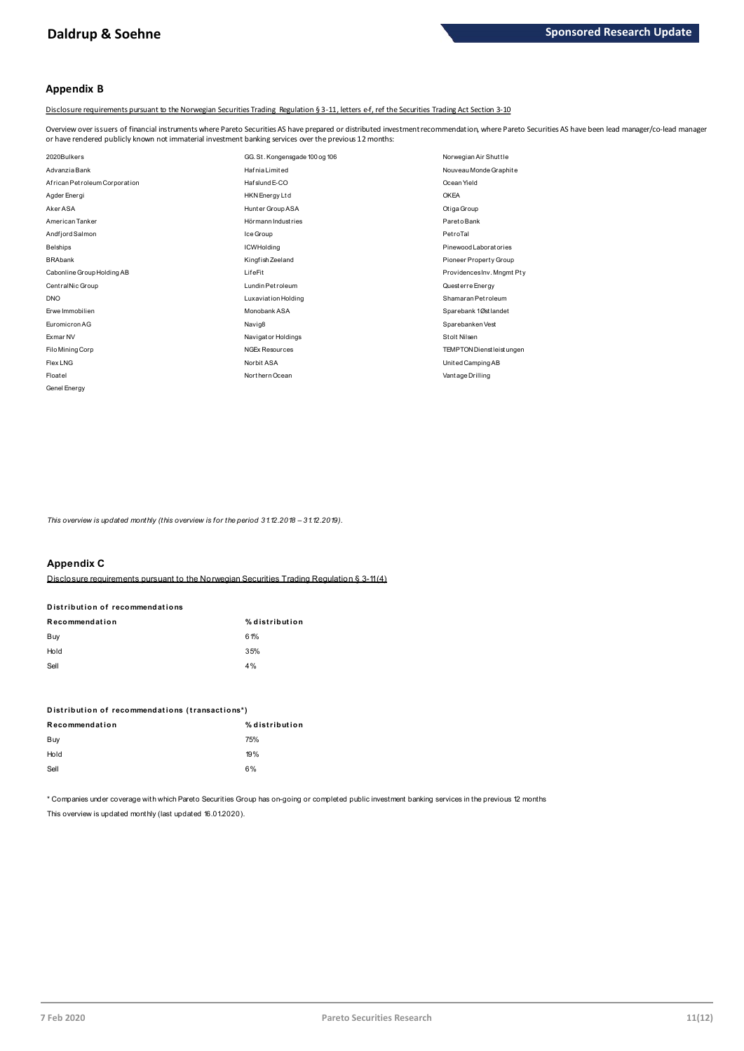# **Appendix B**

Disclosure requirements pursuant to the Norwegian Securities Trading Regulation § 3-11, letters e-f, ref the Securities Trading Act Section 3-10

Overview over issuers of financial instruments where Pareto Securities AS have prepared or distributed investment recommendation, where Pareto Securities AS have been lead manager/co-lead manager<br>or have rendered publicly

| or have rendered publicly known not immaterial investment banking services over the previous 12 months: |                                |                            |
|---------------------------------------------------------------------------------------------------------|--------------------------------|----------------------------|
| 2020Bulkers                                                                                             | GG. St. Kongensgade 100 og 106 | Norwegian Air Shuttle      |
| Advanzia Bank                                                                                           | <b>HafniaLimited</b>           | Nouveau Monde Graphite     |
| African Petroleum Corporation                                                                           | Haf slund E-CO                 | Ocean Yield                |
| Agder Energi                                                                                            | <b>HKN</b> Energy Ltd          | <b>OKEA</b>                |
| Aker ASA                                                                                                | Hunter Group ASA               | Otiga Group                |
| American Tanker                                                                                         | Hörmann Industries             | Pareto Bank                |
| Andfjord Salmon                                                                                         | Ice Group                      | PetroTal                   |
| <b>Belships</b>                                                                                         | <b>ICWHolding</b>              | Pinewood Laboratories      |
| <b>BRAbank</b>                                                                                          | Kingfish Zeeland               | Pioneer Property Group     |
| Cabonline Group Holding AB                                                                              | LifeFit                        | ProvidencesInv. Mngmt Pty  |
| CentralNic Group                                                                                        | Lundin Petroleum               | Quest erre Energy          |
| <b>DNO</b>                                                                                              | Luxaviation Holding            | Shamaran Petroleum         |
| Erwe Immobilien                                                                                         | Monobank ASA                   | Sparebank 1Østlandet       |
| Euromicron AG                                                                                           | Navig8                         | Sparebanken Vest           |
| Exmar NV                                                                                                | Navigator Holdings             | Stolt Nilsen               |
| Filo Mining Corp                                                                                        | <b>NGEx Resources</b>          | TEMPTON Dienst leist ungen |
| Flex LNG                                                                                                | Norbit ASA                     | United Camping AB          |
| Floatel                                                                                                 | Northern Ocean                 | Vant age Drilling          |
| Genel Energy                                                                                            |                                |                            |

*This overview is updated monthly (this overview is for the period 31.12.2018 - 31.12.2019).* 

# **Appendix C**

Disclosure requirements pursuant to the Norwegian Securities Trading Regulation § 3-11 (4)

# **Distribution of recommendations D ist ribut ion of recommendat ions**

| Recommendation | % distribution |
|----------------|----------------|
| Buy            | 61%            |
| Hold           | 35%            |
| Sell           | 4%             |

| . |                                                 |  |
|---|-------------------------------------------------|--|
|   |                                                 |  |
|   |                                                 |  |
|   |                                                 |  |
|   |                                                 |  |
|   |                                                 |  |
|   | Distribution of recommendations (transactions*) |  |
|   |                                                 |  |
|   |                                                 |  |

| Distribution of recommendations (transactions*) |                |  |  |
|-------------------------------------------------|----------------|--|--|
| Recommendation                                  | % distribution |  |  |
| Buy                                             | 75%            |  |  |
| Hold                                            | 19%            |  |  |
| Sell                                            | 6%             |  |  |
|                                                 |                |  |  |

\* Companies under coverage with which Pareto Securities Group has on-going or completed public investment banking services in the previous 12 months This overview is updated monthly (last updated 16.01.2020).